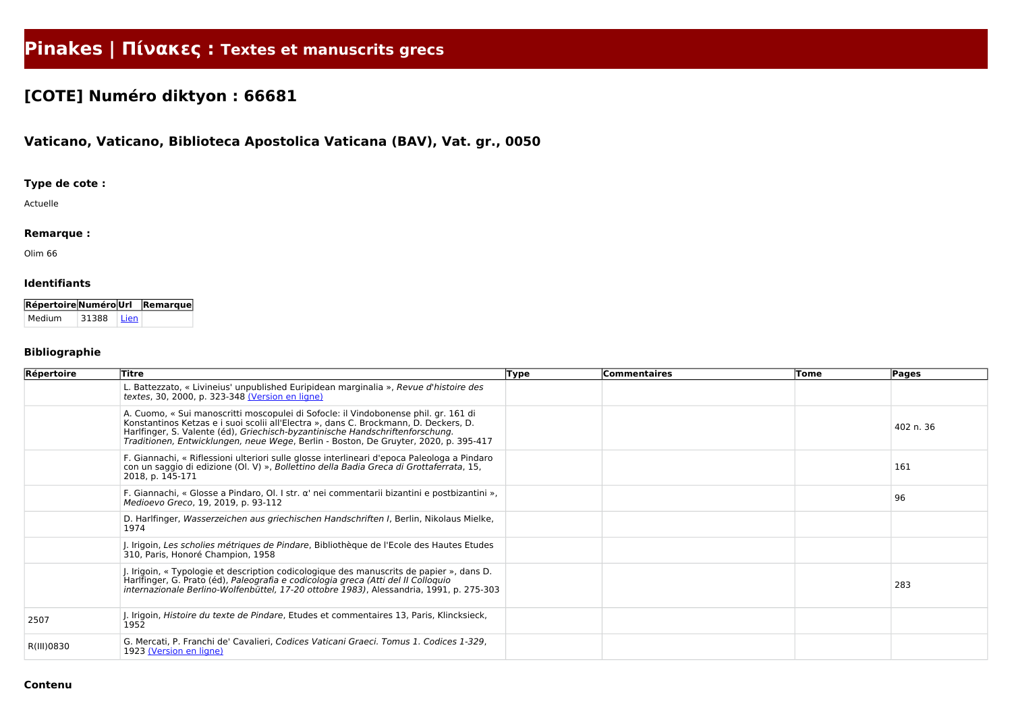# **Pinakes | Πίνακες : Textes et manuscrits grecs**

# **[COTE] Numéro diktyon : 66681**

## **Vaticano, Vaticano, Biblioteca Apostolica Vaticana (BAV), Vat. gr., 0050**

#### **Type de cote :**

Actuelle

#### **Remarque :**

Olim 66

#### **Identifiants**

| <b>Répertoire Numéro Url</b> |       |        | Remarque |
|------------------------------|-------|--------|----------|
| Medium                       | 31388 | l Lien |          |

### **Bibliographie**

| Répertoire | Titre                                                                                                                                                                                                                                                                                                                                                | <b>Type</b> | <b>Commentaires</b> | Tome | <b>Pages</b> |
|------------|------------------------------------------------------------------------------------------------------------------------------------------------------------------------------------------------------------------------------------------------------------------------------------------------------------------------------------------------------|-------------|---------------------|------|--------------|
|            | L. Battezzato, « Livineius' unpublished Euripidean marginalia », Revue d'histoire des<br>textes, 30, 2000, p. 323-348 (Version en ligne)                                                                                                                                                                                                             |             |                     |      |              |
|            | A. Cuomo, « Sui manoscritti moscopulei di Sofocle: il Vindobonense phil. gr. 161 di<br>Konstantinos Ketzas e i suoi scolii all'Electra », dans C. Brockmann, D. Deckers, D.<br>Harlfinger, S. Valente (éd), Griechisch-byzantinische Handschriftenforschung.<br>Traditionen, Entwicklungen, neue Wege, Berlin - Boston, De Gruyter, 2020, p. 395-417 |             |                     |      | 402 n. 36    |
|            | F. Giannachi, « Riflessioni ulteriori sulle glosse interlineari d'epoca Paleologa a Pindaro<br>con un saggio di edizione (Ol. V) », Bollettino della Badia Greca di Grottaferrata, 15,<br>2018, p. 145-171                                                                                                                                           |             |                     |      | 161          |
|            | F. Giannachi, « Glosse a Pindaro, Ol. I str. $\alpha'$ nei commentarii bizantini e postbizantini »,<br>Medioevo Greco, 19, 2019, p. 93-112                                                                                                                                                                                                           |             |                     |      | 96           |
|            | D. Harlfinger, Wasserzeichen aus griechischen Handschriften I, Berlin, Nikolaus Mielke,<br>1974                                                                                                                                                                                                                                                      |             |                     |      |              |
|            | J. Irigoin, Les scholies métriques de Pindare, Bibliothèque de l'Ecole des Hautes Etudes<br>310, Paris, Honoré Champion, 1958                                                                                                                                                                                                                        |             |                     |      |              |
|            | J. Irigoin, « Typologie et description codicologique des manuscrits de papier », dans D.<br>Harlfinger, G. Prato (éd), Paleografia e codicologia greca (Atti del II Colloquio<br>internazionale Berlino-Wolfenbüttel, 17-20 ottobre 1983), Alessandria, 1991, p. 275-303                                                                             |             |                     |      | 283          |
| 2507       | J. Irigoin, Histoire du texte de Pindare, Etudes et commentaires 13, Paris, Klincksieck,<br>1952                                                                                                                                                                                                                                                     |             |                     |      |              |
| R(III)0830 | G. Mercati, P. Franchi de' Cavalieri, Codices Vaticani Graeci. Tomus 1. Codices 1-329,<br>1923 (Version en ligne)                                                                                                                                                                                                                                    |             |                     |      |              |

#### **Contenu**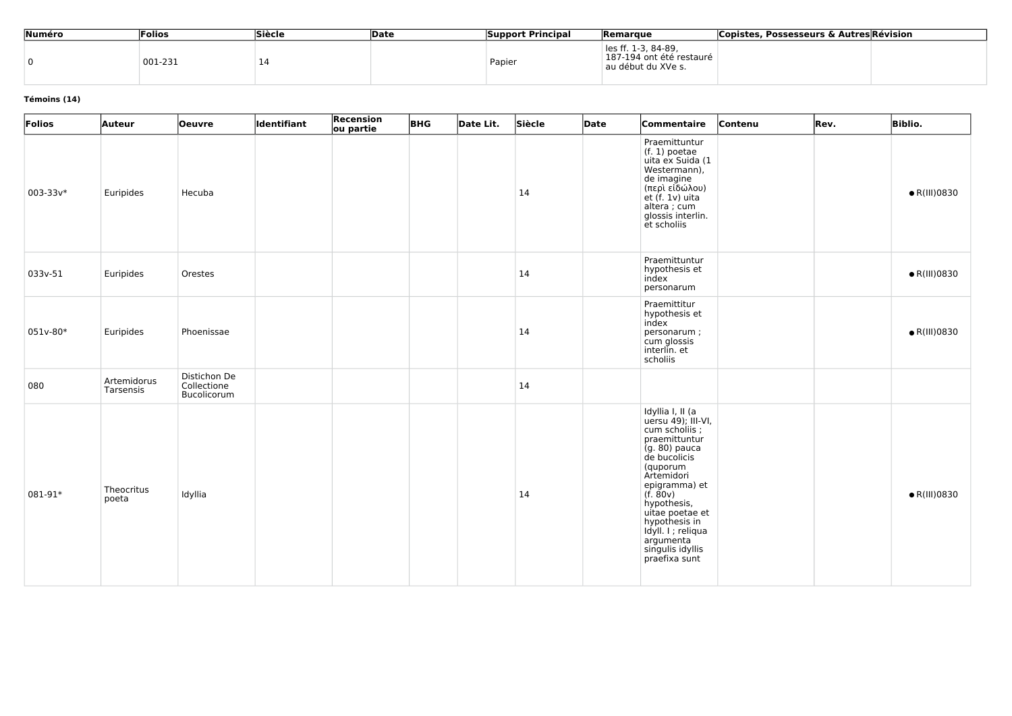| Numéro | <b>Folios</b> | Siècle | <b>Date</b> | <b>Support Principal</b> | <b>Remarque</b>                                                       | Copistes, Possesseurs & Autres Révision |
|--------|---------------|--------|-------------|--------------------------|-----------------------------------------------------------------------|-----------------------------------------|
|        | 001-231       | 14     |             | Papier                   | les ff. 1-3, 84-89,<br>187-194 ont été restauré<br>au début du XVe s. |                                         |

#### **Témoins (14)**

| Folios   | <b>Auteur</b>            | <b>Oeuvre</b>                              | Identifiant | Recension<br>ou partie | <b>BHG</b> | Date Lit. | Siècle | Date | <b>Commentaire</b>                                                                                                                                                                                                                                                                          | Contenu | Rev. | <b>Biblio.</b>       |
|----------|--------------------------|--------------------------------------------|-------------|------------------------|------------|-----------|--------|------|---------------------------------------------------------------------------------------------------------------------------------------------------------------------------------------------------------------------------------------------------------------------------------------------|---------|------|----------------------|
| 003-33v* | Euripides                | Hecuba                                     |             |                        |            |           | 14     |      | Praemittuntur<br>$(f. 1)$ poetae<br>uita ex Suida (1<br>Westermann),<br>de imagine<br>(περὶ είδώλου)<br>et (f. 1ν) uita<br>altera ; cum<br>glossis interlin.<br>et scholiis                                                                                                                 |         |      | $\bullet$ R(III)0830 |
| 033v-51  | Euripides                | Orestes                                    |             |                        |            |           | 14     |      | Praemittuntur<br>hypothesis et<br>index<br>personarum                                                                                                                                                                                                                                       |         |      | $\bullet$ R(III)0830 |
| 051v-80* | Euripides                | Phoenissae                                 |             |                        |            |           | 14     |      | Praemittitur<br>hypothesis et<br>index<br>personarum;<br>cum glossis<br>interlin. et<br>scholiis                                                                                                                                                                                            |         |      | $\bullet$ R(III)0830 |
| 080      | Artemidorus<br>Tarsensis | Distichon De<br>Collectione<br>Bucolicorum |             |                        |            |           | 14     |      |                                                                                                                                                                                                                                                                                             |         |      |                      |
| 081-91*  | Theocritus<br>poeta      | Idyllia                                    |             |                        |            |           | 14     |      | Idyllia I, II (a<br>uersu 49); III-VI,<br>cum scholiis;<br>praemittuntur<br>(g. 80) pauca<br>de bucolicis<br>(quporum<br>Artemidori<br>epigramma) et<br>(f. 80v)<br>hypothesis,<br>uitae poetae et<br>hypothesis in<br>Idyll. I ; reliqua<br>argumenta<br>singulis idyllis<br>praefixa sunt |         |      | $\bullet$ R(III)0830 |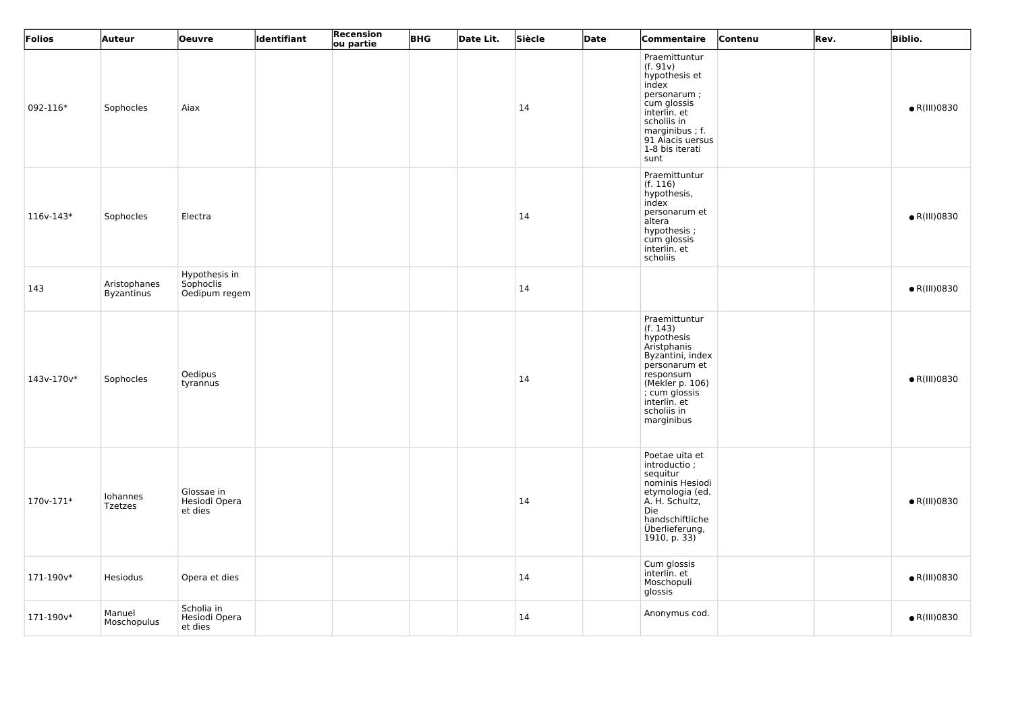| Folios      | Auteur                            | <b>Oeuvre</b>                               | Identifiant | Recension<br>ou partie | <b>BHG</b> | Date Lit. | Siècle | Date | Commentaire                                                                                                                                                                               | Contenu | Rev. | <b>Biblio.</b>       |
|-------------|-----------------------------------|---------------------------------------------|-------------|------------------------|------------|-----------|--------|------|-------------------------------------------------------------------------------------------------------------------------------------------------------------------------------------------|---------|------|----------------------|
| 092-116*    | Sophocles                         | Aiax                                        |             |                        |            |           | 14     |      | Praemittuntur<br>(f. 91v)<br>hypothesis et<br>index<br>personarum;<br>cum glossis<br>interlin. et<br>scholiis in<br>marginibus; f.<br>91 Aiacis uersus<br>1-8 bis iterati<br>sunt         |         |      | $\bullet$ R(III)0830 |
| $116v-143*$ | Sophocles                         | Electra                                     |             |                        |            |           | 14     |      | Praemittuntur<br>(f. 116)<br>hypothesis,<br>index<br>personarum et<br>altera<br>hypothesis;<br>cum glossis<br>interlin. et<br>scholiis                                                    |         |      | $\bullet$ R(III)0830 |
| 143         | Aristophanes<br><b>Byzantinus</b> | Hypothesis in<br>Sophoclis<br>Oedipum regem |             |                        |            |           | 14     |      |                                                                                                                                                                                           |         |      | $\bullet$ R(III)0830 |
| 143v-170v*  | Sophocles                         | Oedipus<br>tyrannus                         |             |                        |            |           | 14     |      | Praemittuntur<br>(f. 143)<br>hypothesis<br>Aristphanis<br>Byzantini, index<br>personarum et<br>responsum<br>(Mekler p. 106)<br>; cum glossis<br>interlin. et<br>scholiis in<br>marginibus |         |      | $\bullet$ R(III)0830 |
| $170v-171*$ | Iohannes<br><b>Tzetzes</b>        | Glossae in<br>Hesiodi Opera<br>et dies      |             |                        |            |           | 14     |      | Poetae uita et<br>introductio;<br>sequitur<br>nominis Hesiodi<br>etymologia (ed.<br>A. H. Schultz,<br>Die<br>handschiftliche<br>Überlieferung,<br>1910, p. 33)                            |         |      | $\bullet$ R(III)0830 |
| 171-190v*   | Hesiodus                          | Opera et dies                               |             |                        |            |           | 14     |      | Cum glossis<br>interlin. et<br>Moschopuli<br>glossis                                                                                                                                      |         |      | $\bullet$ R(III)0830 |
| 171-190v*   | Manuel<br>Moschopulus             | Scholia in<br>Hesiodi Opera<br>et dies      |             |                        |            |           | 14     |      | Anonymus cod.                                                                                                                                                                             |         |      | $\bullet$ R(III)0830 |